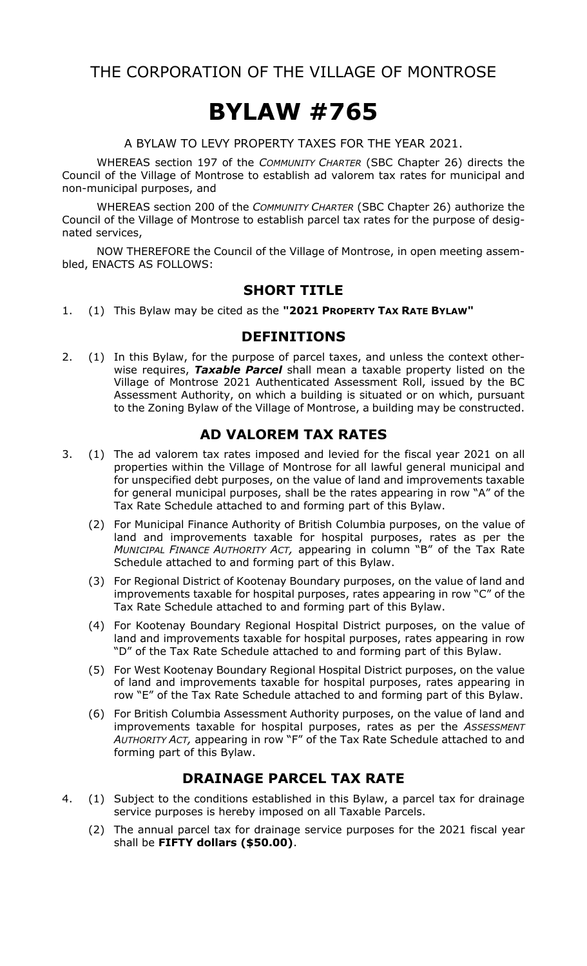# THE CORPORATION OF THE VILLAGE OF MONTROSE

# **BYLAW #765**

A BYLAW TO LEVY PROPERTY TAXES FOR THE YEAR 2021.

WHEREAS section 197 of the *COMMUNITY CHARTER* (SBC Chapter 26) directs the Council of the Village of Montrose to establish ad valorem tax rates for municipal and non-municipal purposes, and

WHEREAS section 200 of the *COMMUNITY CHARTER* (SBC Chapter 26) authorize the Council of the Village of Montrose to establish parcel tax rates for the purpose of designated services,

NOW THEREFORE the Council of the Village of Montrose, in open meeting assembled, ENACTS AS FOLLOWS:

#### **SHORT TITLE**

1. (1) This Bylaw may be cited as the **"2021 PROPERTY TAX RATE BYLAW"**

#### **DEFINITIONS**

2. (1) In this Bylaw, for the purpose of parcel taxes, and unless the context otherwise requires, *Taxable Parcel* shall mean a taxable property listed on the Village of Montrose 2021 Authenticated Assessment Roll, issued by the BC Assessment Authority, on which a building is situated or on which, pursuant to the Zoning Bylaw of the Village of Montrose, a building may be constructed.

#### **AD VALOREM TAX RATES**

- 3. (1) The ad valorem tax rates imposed and levied for the fiscal year 2021 on all properties within the Village of Montrose for all lawful general municipal and for unspecified debt purposes, on the value of land and improvements taxable for general municipal purposes, shall be the rates appearing in row "A" of the Tax Rate Schedule attached to and forming part of this Bylaw.
	- (2) For Municipal Finance Authority of British Columbia purposes, on the value of land and improvements taxable for hospital purposes, rates as per the *MUNICIPAL FINANCE AUTHORITY ACT,* appearing in column "B" of the Tax Rate Schedule attached to and forming part of this Bylaw.
	- (3) For Regional District of Kootenay Boundary purposes, on the value of land and improvements taxable for hospital purposes, rates appearing in row "C" of the Tax Rate Schedule attached to and forming part of this Bylaw.
	- (4) For Kootenay Boundary Regional Hospital District purposes, on the value of land and improvements taxable for hospital purposes, rates appearing in row "D" of the Tax Rate Schedule attached to and forming part of this Bylaw.
	- (5) For West Kootenay Boundary Regional Hospital District purposes, on the value of land and improvements taxable for hospital purposes, rates appearing in row "E" of the Tax Rate Schedule attached to and forming part of this Bylaw.
	- (6) For British Columbia Assessment Authority purposes, on the value of land and improvements taxable for hospital purposes, rates as per the *ASSESSMENT AUTHORITY ACT,* appearing in row "F" of the Tax Rate Schedule attached to and forming part of this Bylaw.

### **DRAINAGE PARCEL TAX RATE**

- 4. (1) Subject to the conditions established in this Bylaw, a parcel tax for drainage service purposes is hereby imposed on all Taxable Parcels.
	- (2) The annual parcel tax for drainage service purposes for the 2021 fiscal year shall be **FIFTY dollars (\$50.00)**.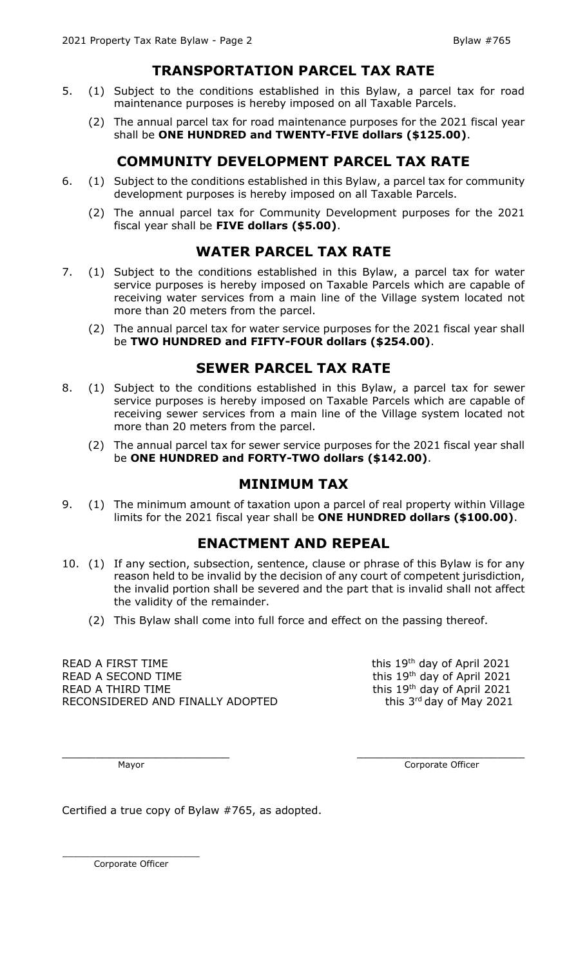#### **TRANSPORTATION PARCEL TAX RATE**

- 5. (1) Subject to the conditions established in this Bylaw, a parcel tax for road maintenance purposes is hereby imposed on all Taxable Parcels.
	- (2) The annual parcel tax for road maintenance purposes for the 2021 fiscal year shall be **ONE HUNDRED and TWENTY-FIVE dollars (\$125.00)**.

# **COMMUNITY DEVELOPMENT PARCEL TAX RATE**

- 6. (1) Subject to the conditions established in this Bylaw, a parcel tax for community development purposes is hereby imposed on all Taxable Parcels.
	- (2) The annual parcel tax for Community Development purposes for the 2021 fiscal year shall be **FIVE dollars (\$5.00)**.

### **WATER PARCEL TAX RATE**

- 7. (1) Subject to the conditions established in this Bylaw, a parcel tax for water service purposes is hereby imposed on Taxable Parcels which are capable of receiving water services from a main line of the Village system located not more than 20 meters from the parcel.
	- (2) The annual parcel tax for water service purposes for the 2021 fiscal year shall be **TWO HUNDRED and FIFTY-FOUR dollars (\$254.00)**.

#### **SEWER PARCEL TAX RATE**

- 8. (1) Subject to the conditions established in this Bylaw, a parcel tax for sewer service purposes is hereby imposed on Taxable Parcels which are capable of receiving sewer services from a main line of the Village system located not more than 20 meters from the parcel.
	- (2) The annual parcel tax for sewer service purposes for the 2021 fiscal year shall be **ONE HUNDRED and FORTY-TWO dollars (\$142.00)**.

#### **MINIMUM TAX**

9. (1) The minimum amount of taxation upon a parcel of real property within Village limits for the 2021 fiscal year shall be **ONE HUNDRED dollars (\$100.00)**.

### **ENACTMENT AND REPEAL**

- 10. (1) If any section, subsection, sentence, clause or phrase of this Bylaw is for any reason held to be invalid by the decision of any court of competent jurisdiction, the invalid portion shall be severed and the part that is invalid shall not affect the validity of the remainder.
	- (2) This Bylaw shall come into full force and effect on the passing thereof.

READ A FIRST TIME  $\overline{ }$  this 19<sup>th</sup> day of April 2021 READ A SECOND TIME  $\frac{19^{th}}{40}$  day of April 2021 READ A THIRD TIME  $\overline{ }$  this 19<sup>th</sup> day of April 2021 RECONSIDERED AND FINALLY ADOPTED

this  $3<sup>rd</sup>$  day of May 2021

\_\_\_\_\_\_\_\_\_\_\_\_\_\_\_\_\_\_\_\_\_\_\_\_\_ \_\_\_\_\_\_\_\_\_\_\_\_\_\_\_\_\_\_\_\_\_\_\_\_\_

Mayor **Community** Corporate Officer

Certified a true copy of Bylaw #765, as adopted.

\_\_\_\_\_\_\_\_\_\_\_\_\_\_\_\_\_\_\_\_\_\_\_\_\_ Corporate Officer